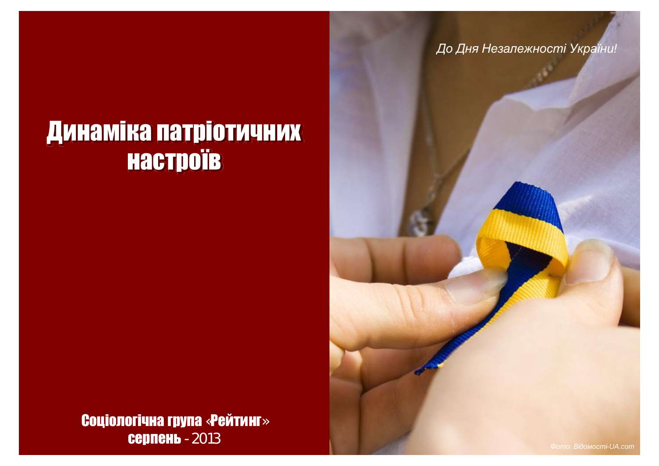**До Дня Незалежності України!** 

## Динаміка патріотичних HACTDOÏB

Соціологічна група «Рейтинг» Серпень - 2013

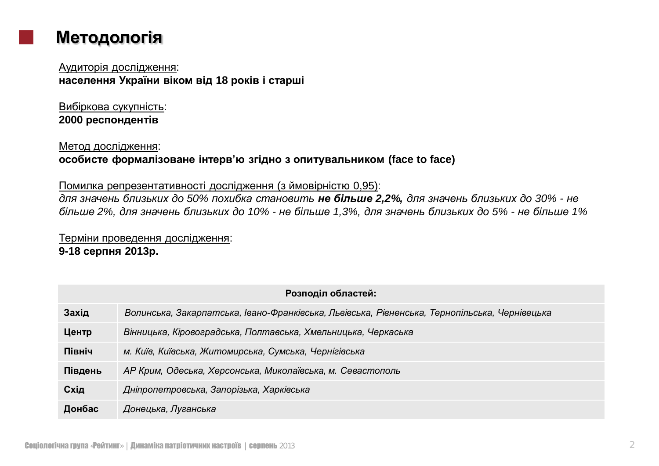### **Методологія**

Аудиторія дослідження: **НАСЕЛЕННЯ УКРАЇНИ ВІКОМ ВІД 18 РОКІВ І СТАРШІ** 

Вибіркова сукупність: **2000 респондентів** 

Метод дослідження:  $\alpha$ **еобисте формалізоване інтерв'ю згідно з опитувальником (face to face)** 

Помилка репрезентативності дослідження (з ймовірністю 0,95):

для значень близьких до 50% похибка становить не більше 2,2%, для значень близьких до 30% - не  $6$ ільше 2%, для значень близьких до 10% - не більше 1,3%, для значень близьких до 5% - не більше 1%

Терміни проведення дослідження: **9-18 серпня 2013р.** 

| Розподіл областей: |                                                                                               |
|--------------------|-----------------------------------------------------------------------------------------------|
| Захід              | Волинська, Закарпатська, Івано-Франківська, Львівська, Рівненська, Тернопільська, Чернівецька |
| Центр              | Вінницька, Кіровоградська, Полтавська, Хмельницька, Черкаська                                 |
| Північ             | м. Київ, Київська, Житомирська, Сумська, Чернігівська                                         |
| Південь            | АР Крим, Одеська, Херсонська, Миколаївська, м. Севастополь                                    |
| Схід               | Дніпропетровська, Запорізька, Харківська                                                      |
| Донбас             | Донецька, Луганська                                                                           |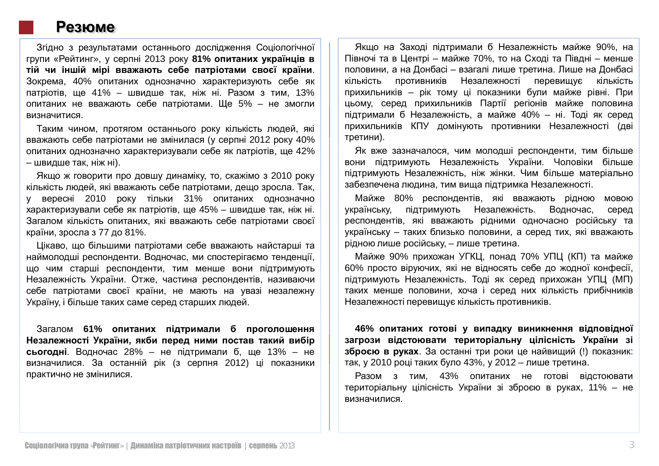#### **Резюме**

Згідно з результатами останнього дослідження Соціологічної групи «Рейтинг», у серпні 2013 року 81% опитаних українців в тій чи іншій мірі вважають себе патріотами своєї країни. Зокрема, 40% опитаних однозначно характеризують себе як патріотів. ще 41% – швидше так, ніж ні. Разом з тим. 13% опитаних не вважають себе патріотами. Ше 5% – не змогли визначитися.

Таким чином, протягом останнього року кількість людей, які вважають себе патріотами не змінилася (у серпні 2012 року 40% опитаних однозначно характеризували себе як патріотів, ще 42%  $-$  швидше так, ніж ні).

Якщо ж говорити про довшу динаміку, то, скажімо з 2010 року кількість людей, які вважають себе патріотами, дещо зросла. Так, у вересні 2010 року тільки 31% опитаних однозначно характеризували себе як патріотів, ще 45% – швидше так, ніж ні. Загалом кількість опитаних, які вважають себе патріотами своєї країни, зросла з 77 до 81%.

Цікаво, що більшими патріотами себе вважають найстарші та наймолодші респонденти. Водночас, ми спостерігаємо тенденції, що чим старші респонденти, тим менше вони підтримують Незалежність України. Отже, частина респондентів, називаючи себе патріотами своєї країни, не мають на увазі незалежну Україну, і більше таких саме серед старших людей.

Загалом 61% опитаних підтримали б проголошення Незалежності України, якби перед ними постав такий вибір сьогодні. Водночас 28% – не підтримали б. ще 13% – не визначилися. За останній рік (з серпня 2012) ці показники практично не змінилися.

Якщо на Заході підтримали б Незалежність майже 90%, на Півночі та в Центрі – майже 70%, то на Сході та Півдні – менше половини, а на Донбасі – взагалі лише третина. Лише на Донбасі кількість противників Незалежності перевишує кількість прихильників - рік тому ці показники були майже рівні. При цьому, серед прихильників Партії регіонів майже половина підтримали б Незалежність, а майже 40% – ні. Тоді як серед прихильників КПУ домінують противники Незалежності (дві третини).

Як вже зазначалося, чим молодші респонденти, тим більше вони підтримують Незалежність України. Чоловіки більше підтримують Незалежність, ніж жінки. Чим більше матеріально забезпечена людина, тим вища підтримка Незалежності.

Майже 80% респондентів, які вважають рідною мовою українську, підтримують Незалежність. Водночас, серед респондентів, які вважають рідними одночасно російську та українську - таких близько половини, а серед тих, які вважають рідною лише російську, – лише третина.

Майже 90% прихожан УГКЦ, понад 70% УПЦ (КП) та майже 60% просто віруючих, які не відносять себе до жодної конфесії. підтримують Незалежність. Тоді як серед прихожан УПЦ (МП) таких менше половини, хоча і серед них кількість прибічників Незалежності перевищує кількість противників.

46% опитаних готові у випадку виникнення відповідної загрози відстоювати територіальну цілісність України зі **зброєю в руках**. За останні три роки це найвищий (!) показник: так, у 2010 році таких було 43%, у 2012 – лише третина.

Разом з тим. 43% опитаних не готові відстоювати територіальну цілісність України зі зброєю в руках, 11% – не визначипися.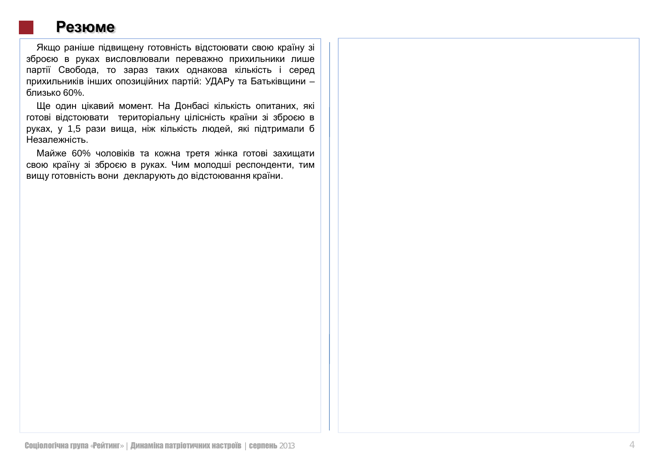### **Резюме**

Якщо раніше підвищену готовність відстоювати свою країну зі зброєю в руках висловлювали переважно прихильники лише партії Свобода, то зараз таких однакова кількість і серед прихильників інших опозиційних партій: УДАРу та Батьківщини близько 60%.

Ще один цікавий момент. На Донбасі кількість опитаних, які готові відстоювати територіальну цілісність країни зі зброєю в руках, у 1,5 рази вища, ніж кількість людей, які підтримали б Незалежність.

Майже 60% чоловіків та кожна третя жінка готові захищати свою країну зі зброєю в руках. Чим молодші респонденти, тим вищу готовність вони декларують до відстоювання країни.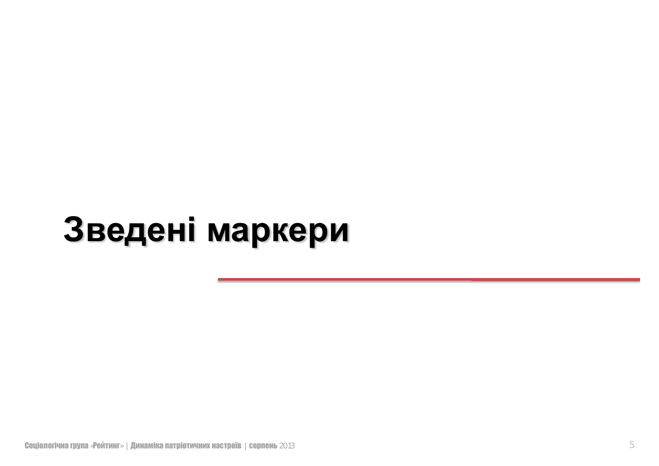## Зведені маркери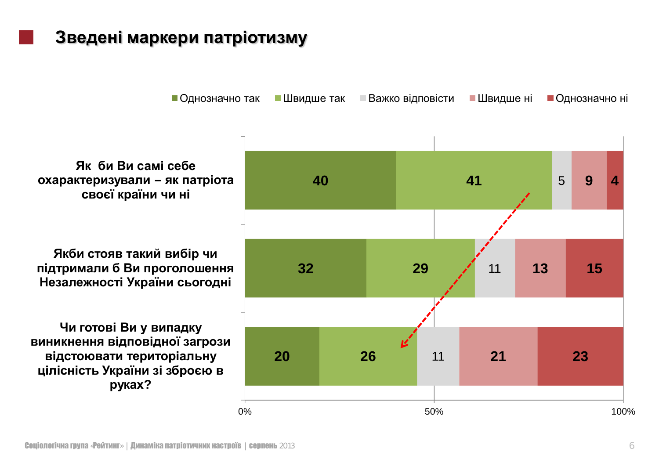### Зведені маркери патріотизму

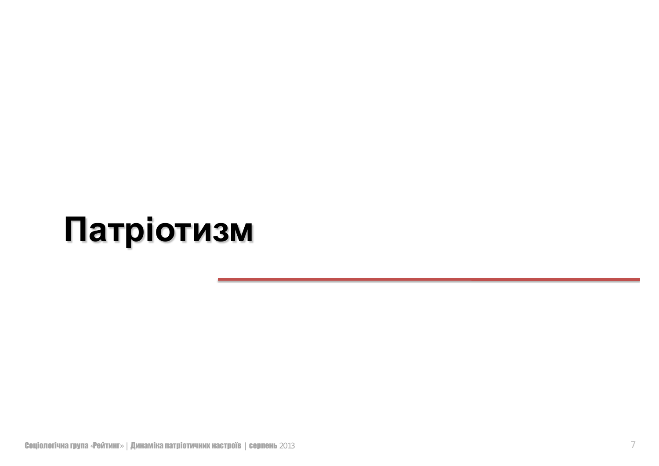## Патріотизм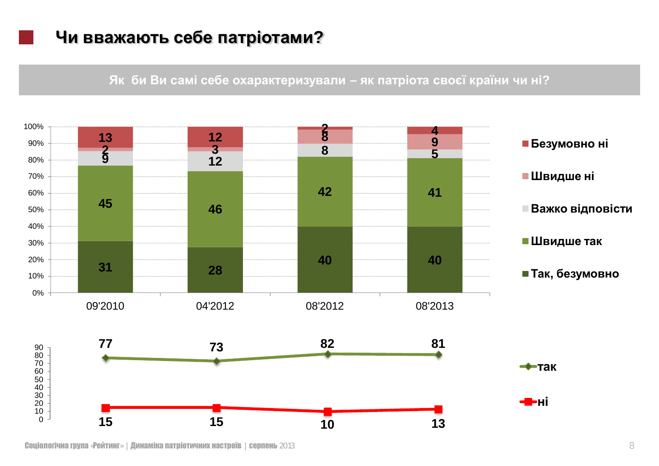### Чи вважають себе патріотами?

#### Як би Ви самі себе охарактеризували - як патріота своєї країни чи ні?

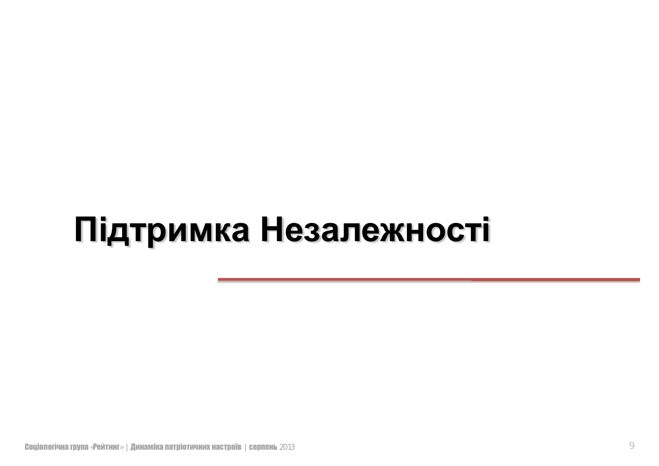## Підтримка Незалежності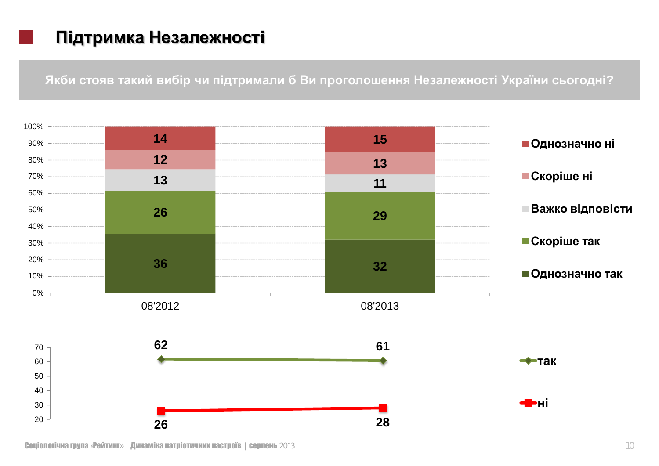## Підтримка Незалежності

Якби стояв такий вибір чи підтримали б Ви проголошення Незалежності України сьогодні?

![](_page_9_Figure_2.jpeg)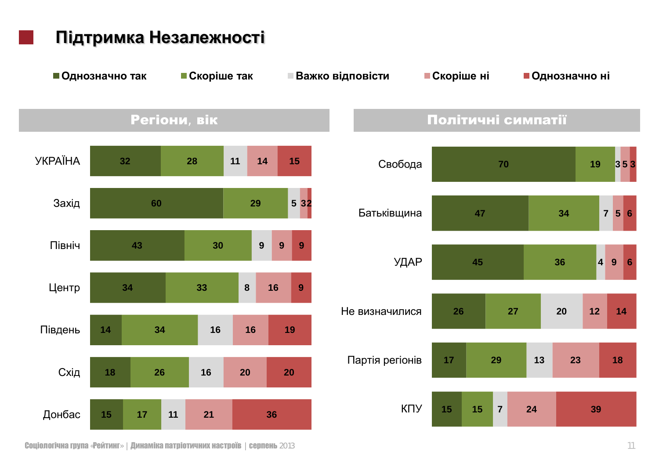![](_page_10_Figure_0.jpeg)

Соціологічна група «Рейтинг» | Динаміка патріотичних настроїв | серпень 2013 **12 серпеня патріотичних серпеня 2013**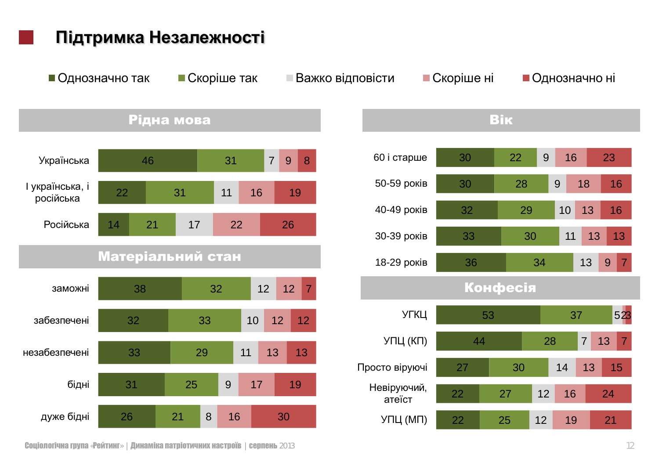![](_page_11_Figure_0.jpeg)

Соціологічна група «Рейтинг» | Динаміка патріотичних настроїв | серпень 2013 **12**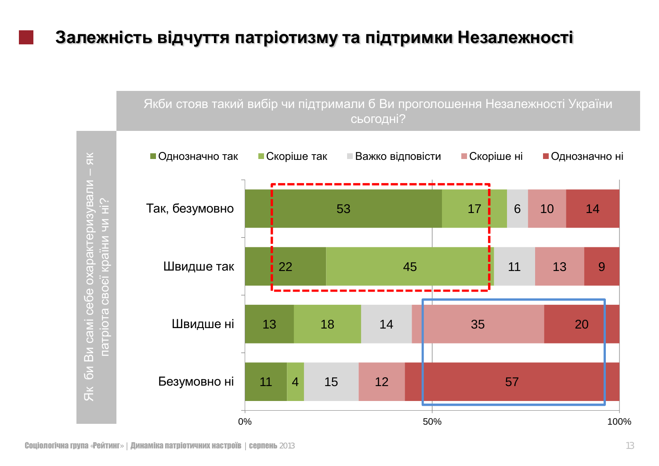## Залежність відчуття патріотизму та підтримки Незалежності

![](_page_12_Figure_1.jpeg)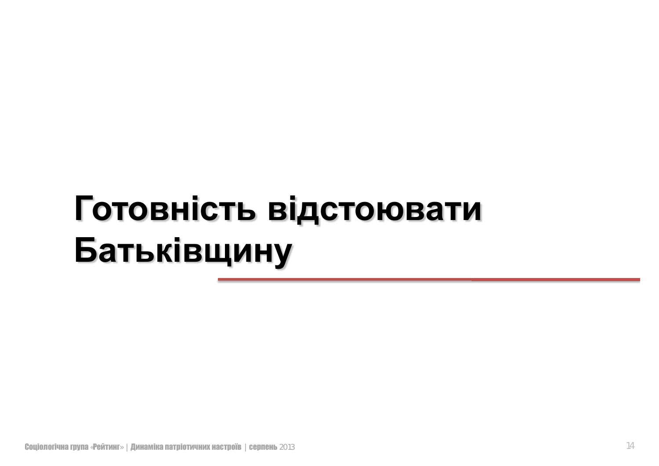# Готовність відстоювати **Батьківщину**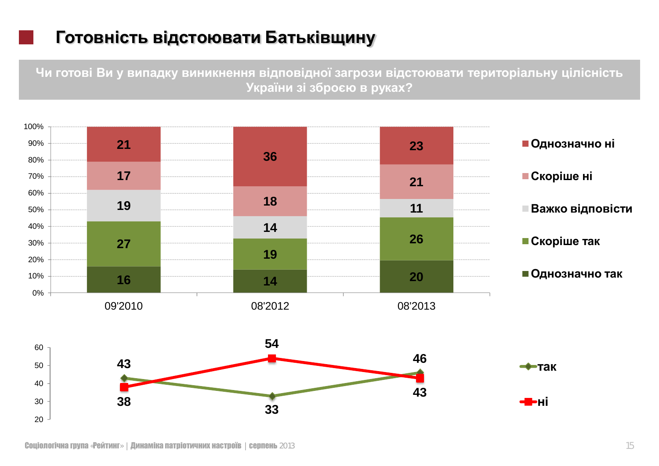## Готовність відстоювати Батьківщину

Чи готові Ви у випадку виникнення відповідної загрози відстоювати територіальну цілісність України зі зброєю в руках?

![](_page_14_Figure_2.jpeg)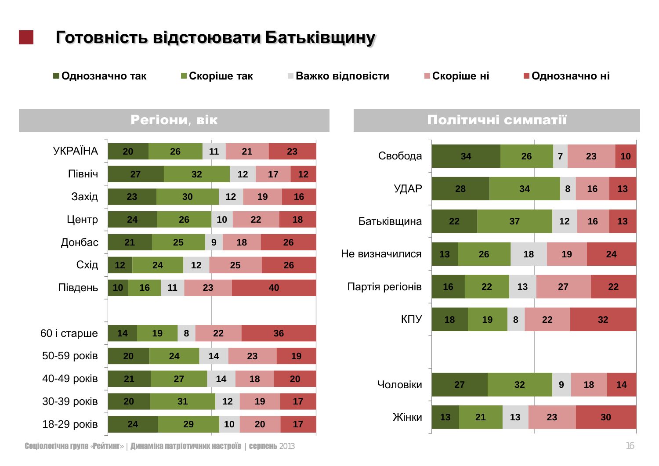#### Південь Схід Донбас Центр Захід Північ **YKPAÏHA ■ Однозначно так** ■ Скоріше так Важко відповісти В Скоріше ні В Однозначно ні Periohu, Bik **Готовність відстоювати Батьківщину**  КПУ Партія регіонів Не визначилися Батьківщина УДАР Свобода Політичні симпатії

Жінки

Чоповіки

![](_page_15_Figure_1.jpeg)

Соціологічна група «Рейтинг» | Динаміка патріотичних настроїв | серпень 2013 **16 серпення патріотичних таст**ивнос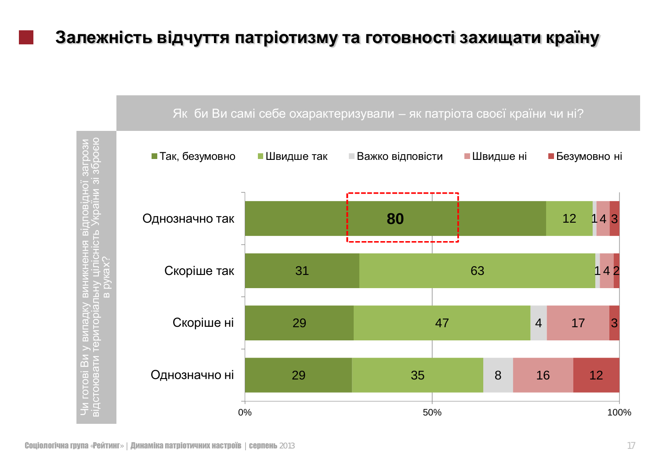## Залежність відчуття патріотизму та готовності захищати країну

![](_page_16_Figure_1.jpeg)